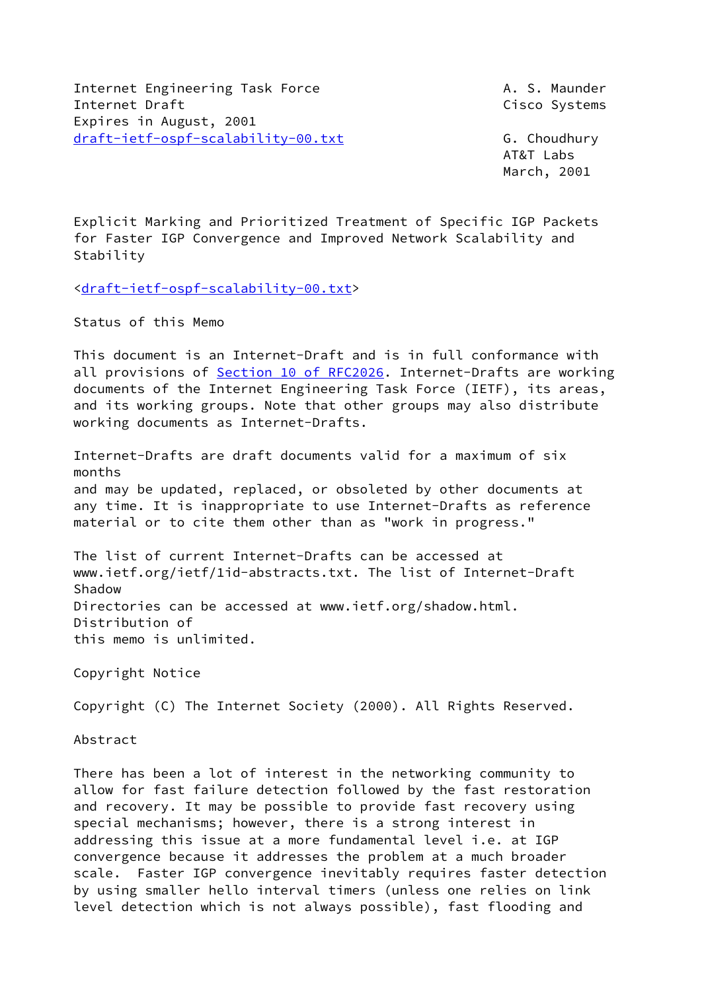Internet Engineering Task Force **A. S. Maunder** Internet Draft Cisco Systems Expires in August, 2001 [draft-ietf-ospf-scalability-00.txt](https://datatracker.ietf.org/doc/pdf/draft-ietf-ospf-scalability-00.txt) G. Choudhury

 AT&T Labs March, 2001

Explicit Marking and Prioritized Treatment of Specific IGP Packets for Faster IGP Convergence and Improved Network Scalability and Stability

[<draft-ietf-ospf-scalability-00.txt>](https://datatracker.ietf.org/doc/pdf/draft-ietf-ospf-scalability-00.txt)

Status of this Memo

This document is an Internet-Draft and is in full conformance with all provisions of Section [10 of RFC2026.](https://datatracker.ietf.org/doc/pdf/rfc2026#section-10) Internet-Drafts are working documents of the Internet Engineering Task Force (IETF), its areas, and its working groups. Note that other groups may also distribute working documents as Internet-Drafts.

Internet-Drafts are draft documents valid for a maximum of six months and may be updated, replaced, or obsoleted by other documents at any time. It is inappropriate to use Internet-Drafts as reference material or to cite them other than as "work in progress."

The list of current Internet-Drafts can be accessed at www.ietf.org/ietf/1id-abstracts.txt. The list of Internet-Draft Shadow Directories can be accessed at www.ietf.org/shadow.html. Distribution of this memo is unlimited.

Copyright Notice

Copyright (C) The Internet Society (2000). All Rights Reserved.

Abstract

There has been a lot of interest in the networking community to allow for fast failure detection followed by the fast restoration and recovery. It may be possible to provide fast recovery using special mechanisms; however, there is a strong interest in addressing this issue at a more fundamental level i.e. at IGP convergence because it addresses the problem at a much broader scale. Faster IGP convergence inevitably requires faster detection by using smaller hello interval timers (unless one relies on link level detection which is not always possible), fast flooding and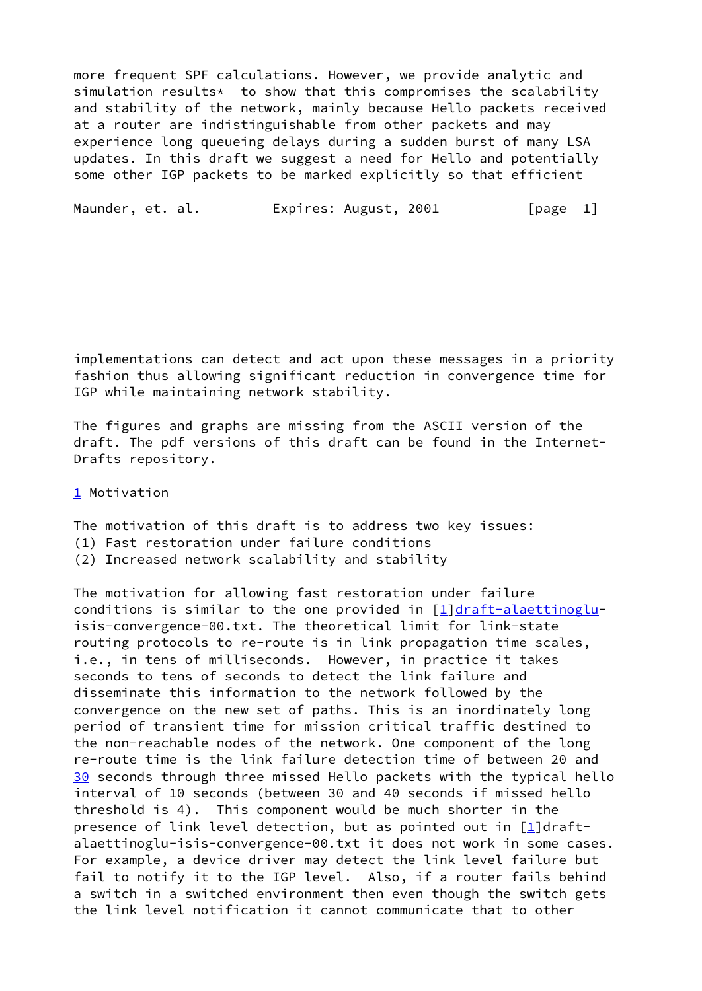more frequent SPF calculations. However, we provide analytic and simulation results\* to show that this compromises the scalability and stability of the network, mainly because Hello packets received at a router are indistinguishable from other packets and may experience long queueing delays during a sudden burst of many LSA updates. In this draft we suggest a need for Hello and potentially some other IGP packets to be marked explicitly so that efficient

Maunder, et. al. **Expires: August, 2001** [page 1]

implementations can detect and act upon these messages in a priority fashion thus allowing significant reduction in convergence time for IGP while maintaining network stability.

The figures and graphs are missing from the ASCII version of the draft. The pdf versions of this draft can be found in the Internet-Drafts repository.

<span id="page-1-0"></span>[1](#page-1-0) Motivation

The motivation of this draft is to address two key issues:

- (1) Fast restoration under failure conditions
- (2) Increased network scalability and stability

<span id="page-1-1"></span>The motivation for allowing fast restoration under failure conditions is similar to the one provided in  $[1]$  $[1]$ [draft-alaettinoglu](https://datatracker.ietf.org/doc/pdf/draft-alaettinoglu)isis-convergence-00.txt. The theoretical limit for link-state routing protocols to re-route is in link propagation time scales, i.e., in tens of milliseconds. However, in practice it takes seconds to tens of seconds to detect the link failure and disseminate this information to the network followed by the convergence on the new set of paths. This is an inordinately long period of transient time for mission critical traffic destined to the non-reachable nodes of the network. One component of the long re-route time is the link failure detection time of between 20 and [30](#page-1-1) seconds through three missed Hello packets with the typical hello interval of 10 seconds (between 30 and 40 seconds if missed hello threshold is 4). This component would be much shorter in the presence of link level detection, but as pointed out in  $[1]$ draftalaettinoglu-isis-convergence-00.txt it does not work in some cases. For example, a device driver may detect the link level failure but fail to notify it to the IGP level. Also, if a router fails behind a switch in a switched environment then even though the switch gets the link level notification it cannot communicate that to other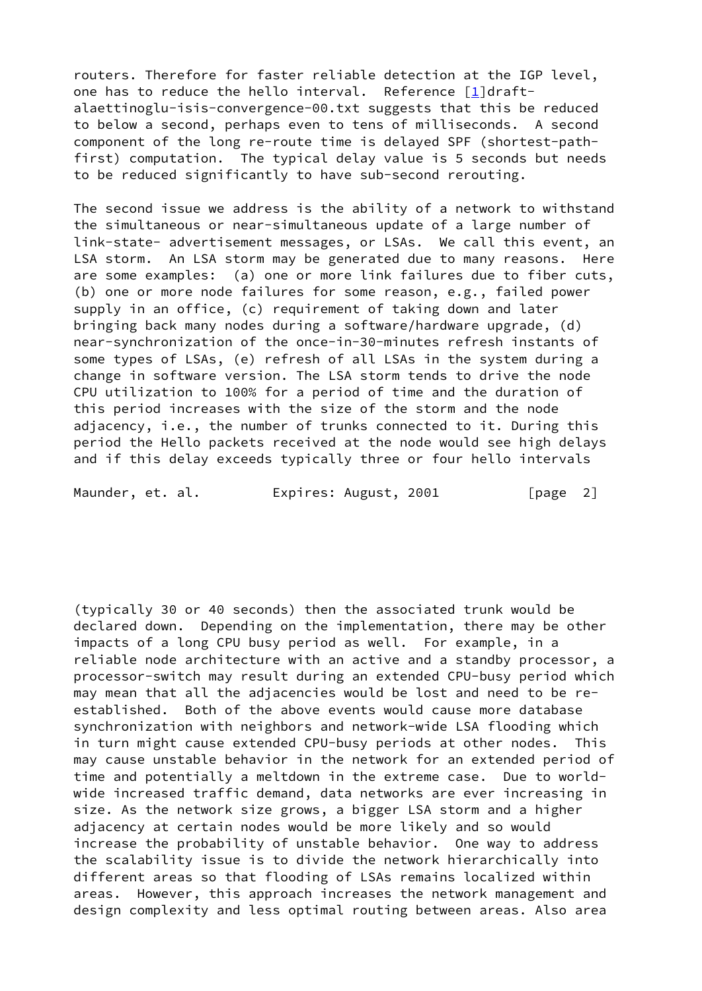routers. Therefore for faster reliable detection at the IGP level, one has to reduce the hello interval. Reference  $[1]$  $[1]$ draftalaettinoglu-isis-convergence-00.txt suggests that this be reduced to below a second, perhaps even to tens of milliseconds. A second component of the long re-route time is delayed SPF (shortest-pathfirst) computation. The typical delay value is 5 seconds but needs to be reduced significantly to have sub-second rerouting.

The second issue we address is the ability of a network to withstand the simultaneous or near-simultaneous update of a large number of link-state- advertisement messages, or LSAs. We call this event, an LSA storm. An LSA storm may be generated due to many reasons. Here are some examples: (a) one or more link failures due to fiber cuts, (b) one or more node failures for some reason, e.g., failed power supply in an office, (c) requirement of taking down and later bringing back many nodes during a software/hardware upgrade, (d) near-synchronization of the once-in-30-minutes refresh instants of some types of LSAs, (e) refresh of all LSAs in the system during a change in software version. The LSA storm tends to drive the node CPU utilization to 100% for a period of time and the duration of this period increases with the size of the storm and the node adjacency, i.e., the number of trunks connected to it. During this period the Hello packets received at the node would see high delays and if this delay exceeds typically three or four hello intervals

Maunder, et. al. **Expires: August, 2001** [page 2]

(typically 30 or 40 seconds) then the associated trunk would be declared down. Depending on the implementation, there may be other impacts of a long CPU busy period as well. For example, in a reliable node architecture with an active and a standby processor, a processor-switch may result during an extended CPU-busy period which may mean that all the adjacencies would be lost and need to be reestablished. Both of the above events would cause more database synchronization with neighbors and network-wide LSA flooding which in turn might cause extended CPU-busy periods at other nodes. This may cause unstable behavior in the network for an extended period of time and potentially a meltdown in the extreme case. Due to worldwide increased traffic demand, data networks are ever increasing in size. As the network size grows, a bigger LSA storm and a higher adjacency at certain nodes would be more likely and so would increase the probability of unstable behavior. One way to address the scalability issue is to divide the network hierarchically into different areas so that flooding of LSAs remains localized within areas. However, this approach increases the network management and design complexity and less optimal routing between areas. Also area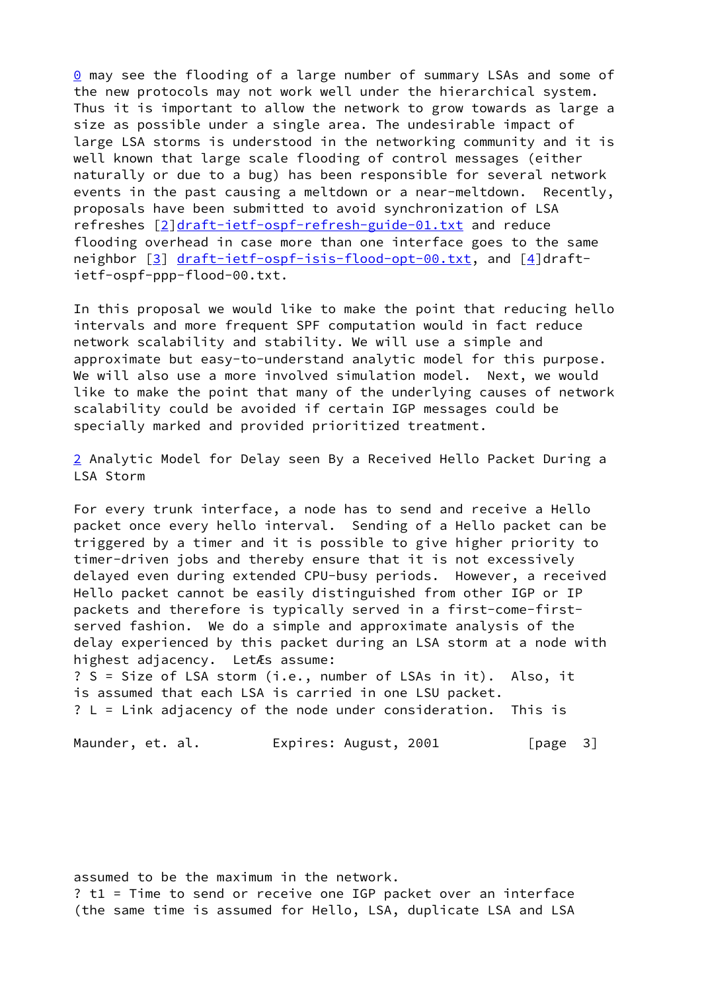<span id="page-3-0"></span>[0](#page-3-0) may see the flooding of a large number of summary LSAs and some of the new protocols may not work well under the hierarchical system. Thus it is important to allow the network to grow towards as large a size as possible under a single area. The undesirable impact of large LSA storms is understood in the networking community and it is well known that large scale flooding of control messages (either naturally or due to a bug) has been responsible for several network events in the past causing a meltdown or a near-meltdown. Recently, proposals have been submitted to avoid synchronization of LSA refreshes [\[2](#page-10-1)[\]draft-ietf-ospf-refresh-guide-01.txt](https://datatracker.ietf.org/doc/pdf/draft-ietf-ospf-refresh-guide-01.txt) and reduce flooding overhead in case more than one interface goes to the same neighbor [[3\]](#page-10-2) [draft-ietf-ospf-isis-flood-opt-00.txt,](https://datatracker.ietf.org/doc/pdf/draft-ietf-ospf-isis-flood-opt-00.txt) and [\[4\]](#page-10-3)draftietf-ospf-ppp-flood-00.txt.

In this proposal we would like to make the point that reducing hello intervals and more frequent SPF computation would in fact reduce network scalability and stability. We will use a simple and approximate but easy-to-understand analytic model for this purpose. We will also use a more involved simulation model. Next, we would like to make the point that many of the underlying causes of network scalability could be avoided if certain IGP messages could be specially marked and provided prioritized treatment.

<span id="page-3-1"></span>[2](#page-3-1) Analytic Model for Delay seen By a Received Hello Packet During a LSA Storm

For every trunk interface, a node has to send and receive a Hello packet once every hello interval. Sending of a Hello packet can be triggered by a timer and it is possible to give higher priority to timer-driven jobs and thereby ensure that it is not excessively delayed even during extended CPU-busy periods. However, a received Hello packet cannot be easily distinguished from other IGP or IP packets and therefore is typically served in a first-come-firstserved fashion. We do a simple and approximate analysis of the delay experienced by this packet during an LSA storm at a node with highest adjacency. LetÆs assume: ? S = Size of LSA storm (i.e., number of LSAs in it). Also, it

is assumed that each LSA is carried in one LSU packet. ? L = Link adjacency of the node under consideration. This is

Maunder, et. al. **Expires: August, 2001** [page 3]

assumed to be the maximum in the network. ? t1 = Time to send or receive one IGP packet over an interface (the same time is assumed for Hello, LSA, duplicate LSA and LSA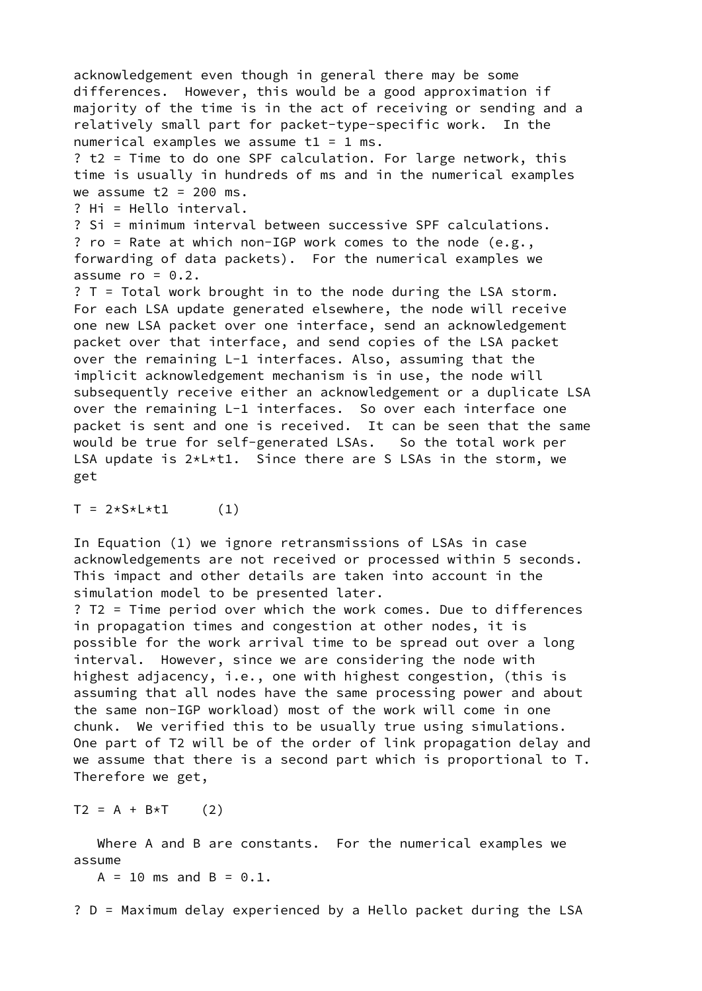acknowledgement even though in general there may be some differences. However, this would be a good approximation if majority of the time is in the act of receiving or sending and a relatively small part for packet-type-specific work. In the numerical examples we assume  $t1 = 1$  ms. ? t2 = Time to do one SPF calculation. For large network, this time is usually in hundreds of ms and in the numerical examples we assume  $t2 = 200$  ms. ? Hi = Hello interval. ? Si = minimum interval between successive SPF calculations. ? ro = Rate at which non-IGP work comes to the node (e.g., forwarding of data packets). For the numerical examples we assume  $ro = 0.2$ . ? T = Total work brought in to the node during the LSA storm. For each LSA update generated elsewhere, the node will receive one new LSA packet over one interface, send an acknowledgement packet over that interface, and send copies of the LSA packet over the remaining L-1 interfaces. Also, assuming that the implicit acknowledgement mechanism is in use, the node will subsequently receive either an acknowledgement or a duplicate LSA over the remaining L-1 interfaces. So over each interface one packet is sent and one is received. It can be seen that the same would be true for self-generated LSAs. So the total work per LSA update is 2\*L\*t1. Since there are S LSAs in the storm, we get

 $T = 2*S*L*t1$  (1)

In Equation (1) we ignore retransmissions of LSAs in case acknowledgements are not received or processed within 5 seconds. This impact and other details are taken into account in the simulation model to be presented later.

? T2 = Time period over which the work comes. Due to differences in propagation times and congestion at other nodes, it is possible for the work arrival time to be spread out over a long interval. However, since we are considering the node with highest adjacency, i.e., one with highest congestion, (this is assuming that all nodes have the same processing power and about the same non-IGP workload) most of the work will come in one chunk. We verified this to be usually true using simulations. One part of T2 will be of the order of link propagation delay and we assume that there is a second part which is proportional to T. Therefore we get,

 $T2 = A + B*T$  (2)

 Where A and B are constants. For the numerical examples we assume

 $A = 10$  ms and  $B = 0.1$ .

? D = Maximum delay experienced by a Hello packet during the LSA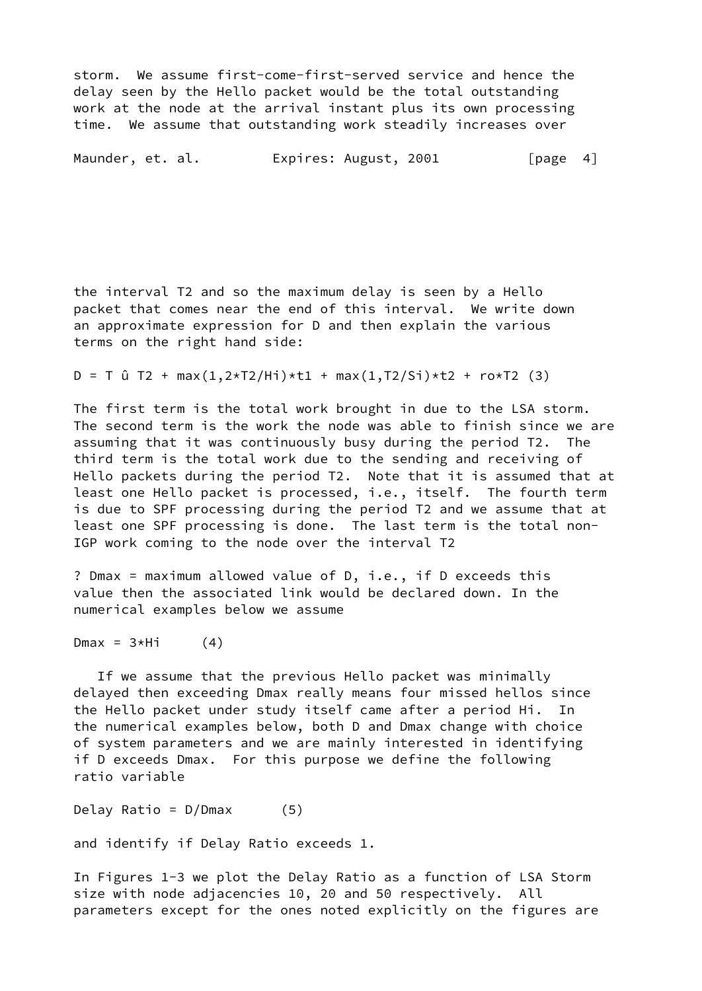storm. We assume first-come-first-served service and hence the delay seen by the Hello packet would be the total outstanding work at the node at the arrival instant plus its own processing time. We assume that outstanding work steadily increases over

Maunder, et. al. **Expires: August, 2001** [page 4]

the interval T2 and so the maximum delay is seen by a Hello packet that comes near the end of this interval. We write down an approximate expression for D and then explain the various terms on the right hand side:

 $D = T \hat{u} T2 + max(1, 2*T2/Hi) * t1 + max(1, T2/Si) * t2 + ro * T2$  (3)

The first term is the total work brought in due to the LSA storm. The second term is the work the node was able to finish since we are assuming that it was continuously busy during the period T2. The third term is the total work due to the sending and receiving of Hello packets during the period T2. Note that it is assumed that at least one Hello packet is processed, i.e., itself. The fourth term is due to SPF processing during the period T2 and we assume that at least one SPF processing is done. The last term is the total non-IGP work coming to the node over the interval T2

? Dmax = maximum allowed value of D, i.e., if D exceeds this value then the associated link would be declared down. In the numerical examples below we assume

 $Dmax = 3*Hi$  (4)

 If we assume that the previous Hello packet was minimally delayed then exceeding Dmax really means four missed hellos since the Hello packet under study itself came after a period Hi. In the numerical examples below, both D and Dmax change with choice of system parameters and we are mainly interested in identifying if D exceeds Dmax. For this purpose we define the following ratio variable

Delay Ratio = D/Dmax (5)

and identify if Delay Ratio exceeds 1.

In Figures 1-3 we plot the Delay Ratio as a function of LSA Storm size with node adjacencies 10, 20 and 50 respectively. All parameters except for the ones noted explicitly on the figures are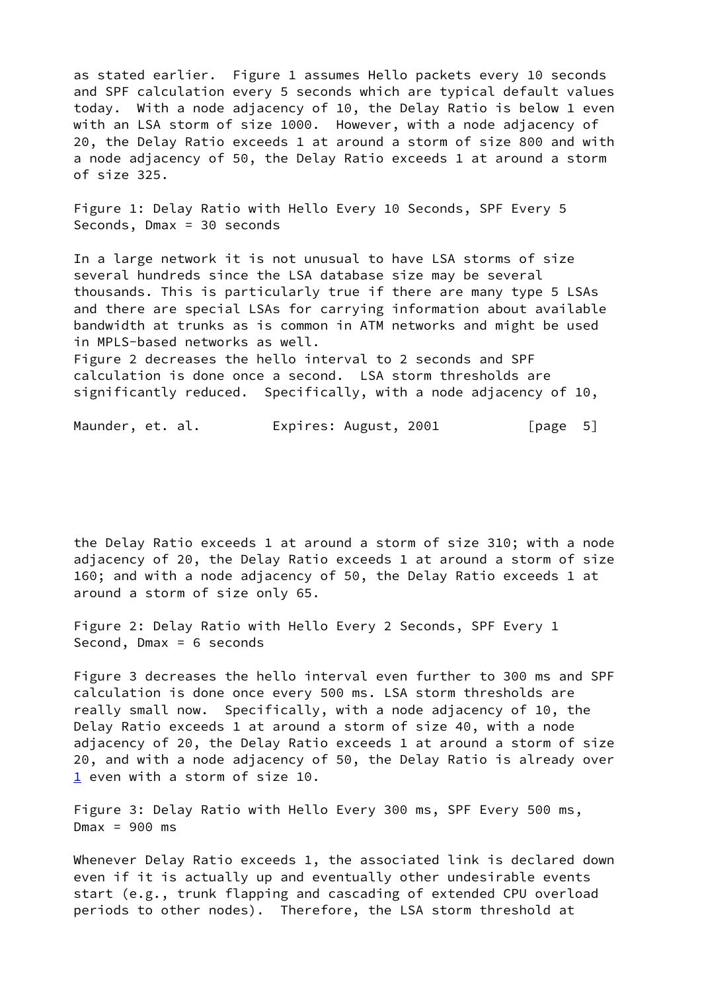as stated earlier. Figure 1 assumes Hello packets every 10 seconds and SPF calculation every 5 seconds which are typical default values today. With a node adjacency of 10, the Delay Ratio is below 1 even with an LSA storm of size 1000. However, with a node adjacency of 20, the Delay Ratio exceeds 1 at around a storm of size 800 and with a node adjacency of 50, the Delay Ratio exceeds 1 at around a storm of size 325.

Figure 1: Delay Ratio with Hello Every 10 Seconds, SPF Every 5 Seconds, Dmax = 30 seconds

In a large network it is not unusual to have LSA storms of size several hundreds since the LSA database size may be several thousands. This is particularly true if there are many type 5 LSAs and there are special LSAs for carrying information about available bandwidth at trunks as is common in ATM networks and might be used in MPLS-based networks as well. Figure 2 decreases the hello interval to 2 seconds and SPF

calculation is done once a second. LSA storm thresholds are significantly reduced. Specifically, with a node adjacency of 10,

Maunder, et. al. **Expires: August, 2001** [page 5]

the Delay Ratio exceeds 1 at around a storm of size 310; with a node adjacency of 20, the Delay Ratio exceeds 1 at around a storm of size 160; and with a node adjacency of 50, the Delay Ratio exceeds 1 at around a storm of size only 65.

Figure 2: Delay Ratio with Hello Every 2 Seconds, SPF Every 1 Second, Dmax = 6 seconds

Figure 3 decreases the hello interval even further to 300 ms and SPF calculation is done once every 500 ms. LSA storm thresholds are really small now. Specifically, with a node adjacency of 10, the Delay Ratio exceeds 1 at around a storm of size 40, with a node adjacency of 20, the Delay Ratio exceeds 1 at around a storm of size 20, and with a node adjacency of 50, the Delay Ratio is already over [1](#page-1-0) even with a storm of size 10.

Figure 3: Delay Ratio with Hello Every 300 ms, SPF Every 500 ms,  $Dmax = 900$  ms

Whenever Delay Ratio exceeds 1, the associated link is declared down even if it is actually up and eventually other undesirable events start (e.g., trunk flapping and cascading of extended CPU overload periods to other nodes). Therefore, the LSA storm threshold at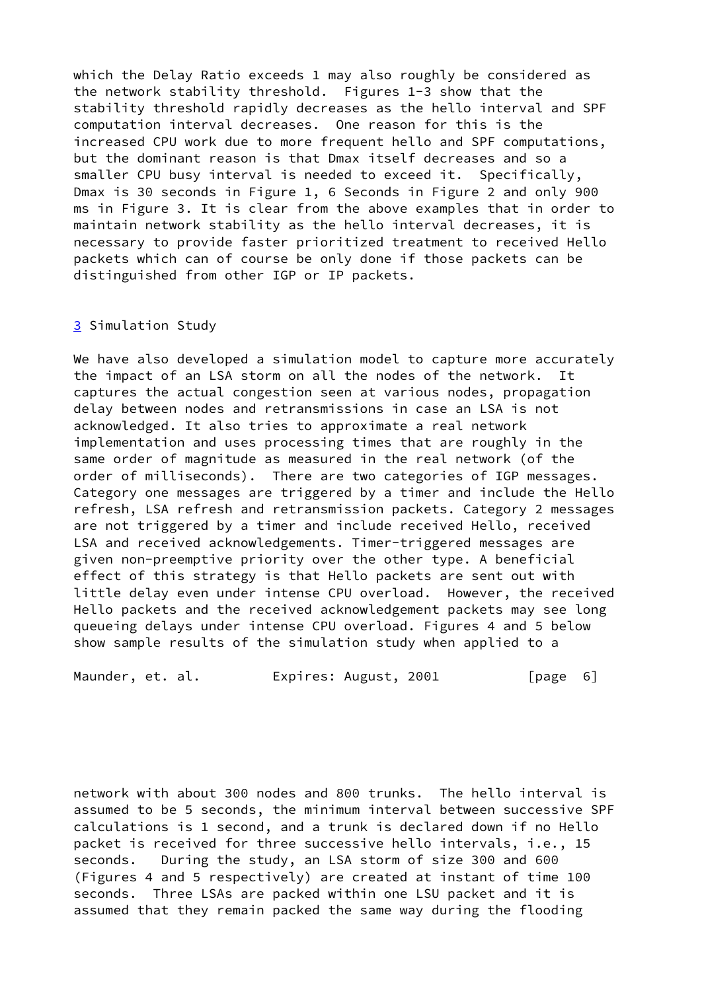which the Delay Ratio exceeds 1 may also roughly be considered as the network stability threshold. Figures 1-3 show that the stability threshold rapidly decreases as the hello interval and SPF computation interval decreases. One reason for this is the increased CPU work due to more frequent hello and SPF computations, but the dominant reason is that Dmax itself decreases and so a smaller CPU busy interval is needed to exceed it. Specifically, Dmax is 30 seconds in Figure 1, 6 Seconds in Figure 2 and only 900 ms in Figure 3. It is clear from the above examples that in order to maintain network stability as the hello interval decreases, it is necessary to provide faster prioritized treatment to received Hello packets which can of course be only done if those packets can be distinguished from other IGP or IP packets.

## <span id="page-7-0"></span>[3](#page-7-0) Simulation Study

We have also developed a simulation model to capture more accurately the impact of an LSA storm on all the nodes of the network. It captures the actual congestion seen at various nodes, propagation delay between nodes and retransmissions in case an LSA is not acknowledged. It also tries to approximate a real network implementation and uses processing times that are roughly in the same order of magnitude as measured in the real network (of the order of milliseconds). There are two categories of IGP messages. Category one messages are triggered by a timer and include the Hello refresh, LSA refresh and retransmission packets. Category 2 messages are not triggered by a timer and include received Hello, received LSA and received acknowledgements. Timer-triggered messages are given non-preemptive priority over the other type. A beneficial effect of this strategy is that Hello packets are sent out with little delay even under intense CPU overload. However, the received Hello packets and the received acknowledgement packets may see long queueing delays under intense CPU overload. Figures 4 and 5 below show sample results of the simulation study when applied to a

Maunder, et. al. Expires: August, 2001 [page 6]

network with about 300 nodes and 800 trunks. The hello interval is assumed to be 5 seconds, the minimum interval between successive SPF calculations is 1 second, and a trunk is declared down if no Hello packet is received for three successive hello intervals, i.e., 15 seconds. During the study, an LSA storm of size 300 and 600 (Figures 4 and 5 respectively) are created at instant of time 100 seconds. Three LSAs are packed within one LSU packet and it is assumed that they remain packed the same way during the flooding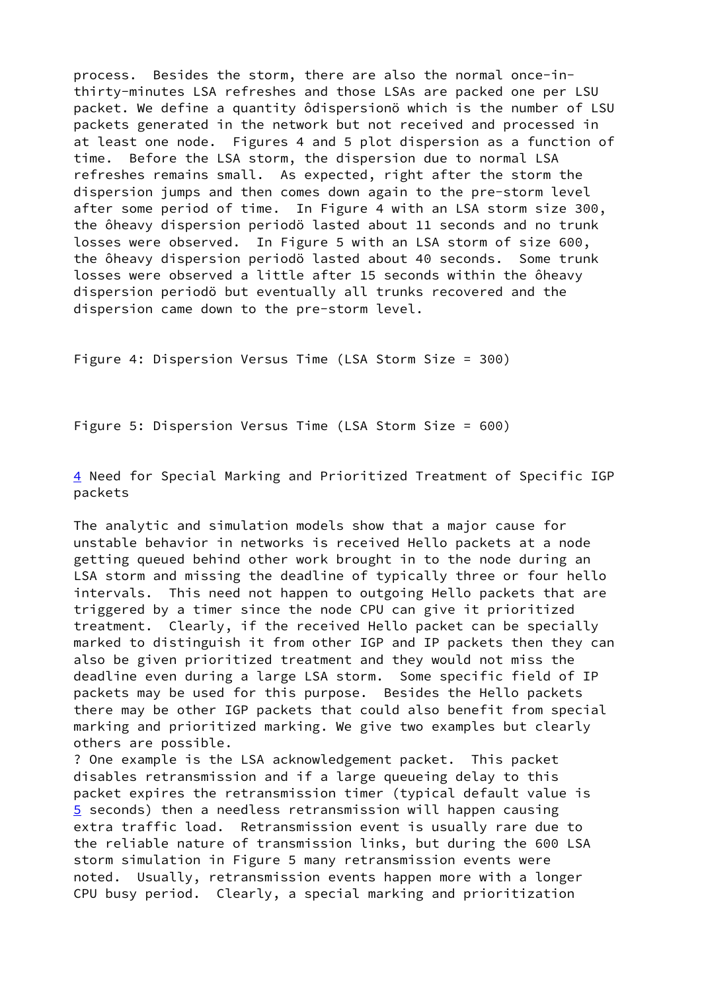process. Besides the storm, there are also the normal once-inthirty-minutes LSA refreshes and those LSAs are packed one per LSU packet. We define a quantity ôdispersionö which is the number of LSU packets generated in the network but not received and processed in at least one node. Figures 4 and 5 plot dispersion as a function of time. Before the LSA storm, the dispersion due to normal LSA refreshes remains small. As expected, right after the storm the dispersion jumps and then comes down again to the pre-storm level after some period of time. In Figure 4 with an LSA storm size 300, the ôheavy dispersion periodö lasted about 11 seconds and no trunk losses were observed. In Figure 5 with an LSA storm of size 600, the ôheavy dispersion periodö lasted about 40 seconds. Some trunk losses were observed a little after 15 seconds within the ôheavy dispersion periodö but eventually all trunks recovered and the dispersion came down to the pre-storm level.

Figure 4: Dispersion Versus Time (LSA Storm Size = 300)

Figure 5: Dispersion Versus Time (LSA Storm Size = 600)

<span id="page-8-0"></span>[4](#page-8-0) Need for Special Marking and Prioritized Treatment of Specific IGP packets

The analytic and simulation models show that a major cause for unstable behavior in networks is received Hello packets at a node getting queued behind other work brought in to the node during an LSA storm and missing the deadline of typically three or four hello intervals. This need not happen to outgoing Hello packets that are triggered by a timer since the node CPU can give it prioritized treatment. Clearly, if the received Hello packet can be specially marked to distinguish it from other IGP and IP packets then they can also be given prioritized treatment and they would not miss the deadline even during a large LSA storm. Some specific field of IP packets may be used for this purpose. Besides the Hello packets there may be other IGP packets that could also benefit from special marking and prioritized marking. We give two examples but clearly others are possible.

<span id="page-8-1"></span>? One example is the LSA acknowledgement packet. This packet disables retransmission and if a large queueing delay to this packet expires the retransmission timer (typical default value is [5](#page-8-1) seconds) then a needless retransmission will happen causing extra traffic load. Retransmission event is usually rare due to the reliable nature of transmission links, but during the 600 LSA storm simulation in Figure 5 many retransmission events were noted. Usually, retransmission events happen more with a longer CPU busy period. Clearly, a special marking and prioritization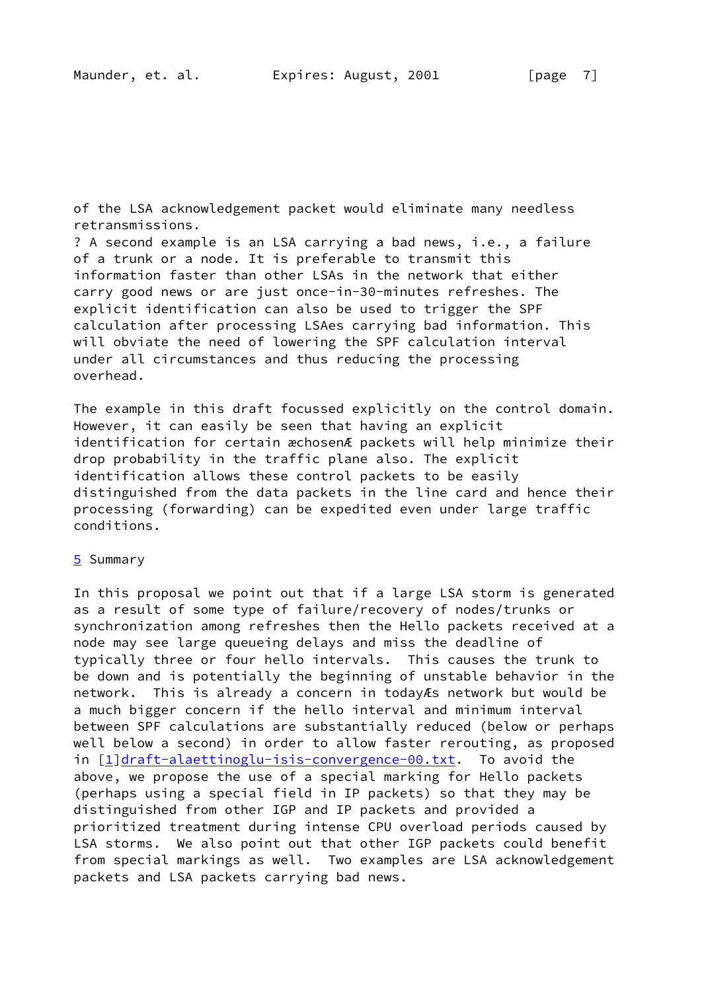of the LSA acknowledgement packet would eliminate many needless retransmissions.

? A second example is an LSA carrying a bad news, i.e., a failure of a trunk or a node. It is preferable to transmit this information faster than other LSAs in the network that either carry good news or are just once-in-30-minutes refreshes. The explicit identification can also be used to trigger the SPF calculation after processing LSAes carrying bad information. This will obviate the need of lowering the SPF calculation interval under all circumstances and thus reducing the processing overhead.

The example in this draft focussed explicitly on the control domain. However, it can easily be seen that having an explicit identification for certain æchosenÆ packets will help minimize their drop probability in the traffic plane also. The explicit identification allows these control packets to be easily distinguished from the data packets in the line card and hence their processing (forwarding) can be expedited even under large traffic conditions.

## [5](#page-8-1) Summary

In this proposal we point out that if a large LSA storm is generated as a result of some type of failure/recovery of nodes/trunks or synchronization among refreshes then the Hello packets received at a node may see large queueing delays and miss the deadline of typically three or four hello intervals. This causes the trunk to be down and is potentially the beginning of unstable behavior in the network. This is already a concern in todayÆs network but would be a much bigger concern if the hello interval and minimum interval between SPF calculations are substantially reduced (below or perhaps well below a second) in order to allow faster rerouting, as proposed in [\[1](#page-10-0)][draft-alaettinoglu-isis-convergence-00.txt.](https://datatracker.ietf.org/doc/pdf/draft-alaettinoglu-isis-convergence-00.txt) To avoid the above, we propose the use of a special marking for Hello packets (perhaps using a special field in IP packets) so that they may be distinguished from other IGP and IP packets and provided a prioritized treatment during intense CPU overload periods caused by LSA storms. We also point out that other IGP packets could benefit from special markings as well. Two examples are LSA acknowledgement packets and LSA packets carrying bad news.